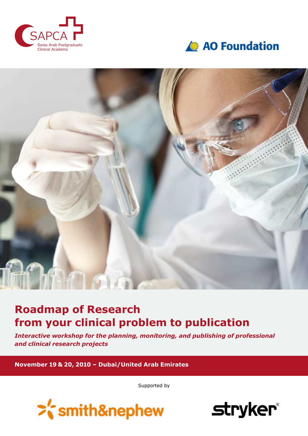





## **Roadmap of Research from your clinical problem to publication**

*Interactive workshop for the planning, monitoring, and publishing of professional and clinical research projects*

**November 19 & 20, 2010 – Dubai/United Arab Emirates**

Supported by



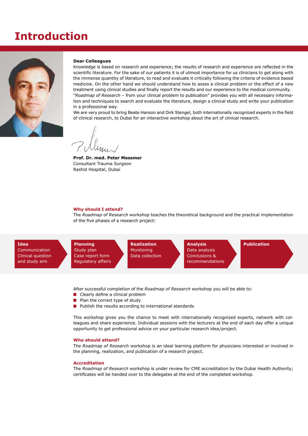## **Introduction**



#### **Dear Colleagues**

Knowledge is based on research and experience; the results of research and experience are refected in the scientifc literature. For the sake of our patients it is of utmost importance for us clinicians to get along with the immense quantity of literature, to read and evaluate it critically following the criteria of evidence based medicine. On the other hand we should understand how to asses a clinical problem or the effect of a new treatment using clinical studies and fnally report the results and our experience to the medical community. "*Roadmap of Research* – from your clinical problem to publication" provides you with all necessary information and techniques to search and evaluate the literature, design a clinical study and write your publication in a professional way.

We are very proud to bring Beate Hanson and Dirk Stengel, both internationally recognized experts in the feld of clinical research, to Dubai for an interactive workshop about the art of clinical research.

**Prof. Dr. med. Peter Messmer** Consultant Trauma Surgeon Rashid Hospital, Dubai

#### **Why should I attend?**

The *Roadmap of Research* workshop teaches the theoretical background and the practical implementation of the five phases of a research project:



After successful completion of the *Roadmap of Research* workshop you will be able to:

- $\blacksquare$  Clearly define a clinical problem
- $\blacksquare$  Plan the correct type of study
- $\blacksquare$  Publish the results according to international standards

This workshop gives you the chance to meet with internationally recognized experts, network with colleagues and share experience. Individual sessions with the lecturers at the end of each day offer a unique opportunity to get professional advice on your particular research idea/project.

### **Who should attend?**

The *Roadmap of Research* workshop is an ideal learning platform for physicians interested or involved in the planning, realization, and publication of a research project.

#### **Accreditation**

The *Roadmap of Research* workshop is under review for CME accreditation by the Dubai Health Authority; certifcates will be handed over to the delegates at the end of the completed workshop.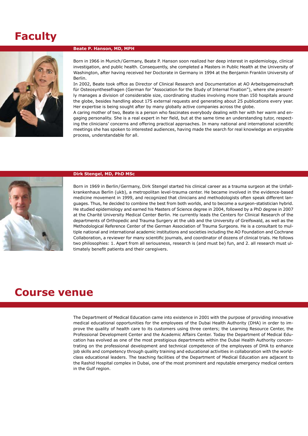# **Faculty**



### **Beate P. Hanson, MD, MPH**

Born in 1966 in Munich/Germany, Beate P. Hanson soon realized her deep interest in epidemiology, clinical investigation, and public health. Consequently, she completed a Masters in Public Health at the University of Washington, after having received her Doctorate in Germany in 1994 at the Benjamin Franklin University of Berlin.

In 2002, Beate took office as Director of Clinical Research and Documentation at AO Arbeitsgemeinschaft für Osteosynthesefragen (German for "Association for the Study of Internal Fixation"), where she presently manages a division of considerable size, coordinating studies involving more than 150 hospitals around the globe, besides handling about 175 external requests and generating about 25 publications every year. Her expertise is being sought after by many globally active companies across the globe.

A caring mother of two, Beate is a person who fascinates everybody dealing with her with her warm and engaging personality. She is a real expert in her feld, but at the same time an understanding tutor, respecting the clinicians' concerns and offering practical approaches. In many national and international scientifc meetings she has spoken to interested audiences, having made the search for real knowledge an enjoyable process, understandable for all.



#### **Dirk Stengel, MD, PhD MSc**

Born in 1969 in Berlin/Germany, Dirk Stengel started his clinical career as a trauma surgeon at the Unfallkrankenhaus Berlin (ukb), a metropolitan level-trauma center. He became involved in the evidence-based medicine movement in 1999, and recognized that clinicians and methodologists often speak different languages. Thus, he decided to combine the best from both worlds, and to become a surgeon-statistician hybrid. He studied epidemiology and earned his Masters of Science degree in 2004, followed by a PhD degree in 2007 at the Charité University Medical Center Berlin. He currently leads the Centers for Clinical Research of the departments of Orthopedic and Trauma Surgery at the ukb and the University of Greifswald, as well as the Methodological Reference Center of the German Association of Trauma Surgeons. He is a consultant to multiple national and international academic institutions and societies including the AO Foundation and Cochrane Collaboration, a reviewer for many scientific journals, and coordinator of dozens of clinical trials. He follows two philosophies: 1. Apart from all seriousness, research is (and must be) fun, and 2. all research must ultimately beneft patients and their caregivers.

## **Course venue**

The Department of Medical Education came into existence in 2001 with the purpose of providing innovative medical educational opportunities for the employees of the Dubai Health Authority (DHA) in order to improve the quality of health care to its customers using three centers; the Learning Resource Center, the Professional Development Center and the Academic Affairs Center. Today the Department of Medical Education has evolved as one of the most prestigious departments within the Dubai Health Authority concentrating on the professional development and technical competence of the employees of DHA to enhance job skills and competency through quality training and educational activities in collaboration with the worldclass educational leaders. The teaching facilities of the Department of Medical Education are adjacent to the Rashid Hospital complex in Dubai, one of the most prominent and reputable emergency medical centers in the Gulf region.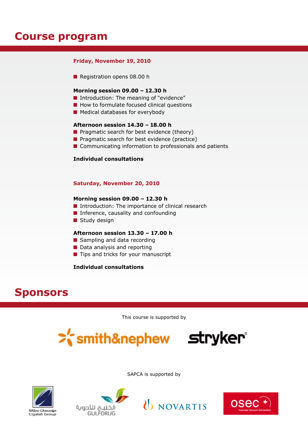## **Course program**

## **Friday, November 19, 2010**

 $\blacksquare$  Registration opens 08.00 h

## **Morning session 09.00 – 12.30 h**

- $\blacksquare$  Introduction: The meaning of "evidence"
- $\blacksquare$  How to formulate focused clinical questions
- $\blacksquare$  Medical databases for everybody

## **Afternoon session 14.30 – 18.00 h**

- $\blacksquare$  Pragmatic search for best evidence (theory)
- $\blacksquare$  Pragmatic search for best evidence (practice)
- $\blacksquare$  Communicating information to professionals and patients

## **Individual consultations**

## **Saturday, November 20, 2010**

## **Morning session 09.00 – 12.30 h**

- $\blacksquare$  Introduction: The importance of clinical research
- $\blacksquare$  Inference, causality and confounding
- $\blacksquare$  Study design

## **Afternoon session 13.30 – 17.00 h**

- Sampling and data recording
- $\blacksquare$  Data analysis and reporting
- $\blacksquare$  Tips and tricks for your manuscript

## **Individual consultations**

## **Sponsors**

This course is supported by

>'smith&nephew stryker®



SAPCA is supported by





U NOVARTIS

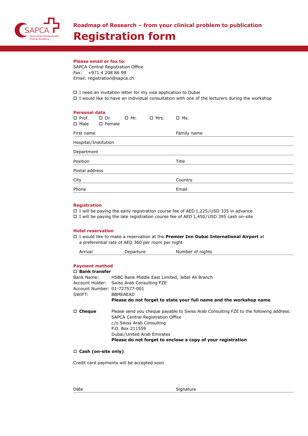

## **Please email or fax to:**

SAPCA Central Registration Office Fax: +971 4 208 86 99 Email: registration@sapca.ch

 $\square$  I need an invitation letter for my visa application to Dubai  $\Box$  I would like to have an individual consultation with one of the lecturers during the workshop

| <b>Personal data</b>    |                           |            |             |             |  |  |  |
|-------------------------|---------------------------|------------|-------------|-------------|--|--|--|
| $\Box$ Prof. $\Box$ Dr. | $\Box$ Male $\Box$ Female | $\Box$ Mr. | $\Box$ Mrs. | $\Box$ Ms.  |  |  |  |
|                         |                           |            |             |             |  |  |  |
| First name              |                           |            |             | Family name |  |  |  |
| Hospital/Institution    |                           |            |             |             |  |  |  |
| Department              |                           |            |             |             |  |  |  |
| Position                |                           |            |             | Title       |  |  |  |
| Postal address          |                           |            |             |             |  |  |  |
| City                    |                           |            |             | Country     |  |  |  |
| Phone                   |                           |            |             | Email       |  |  |  |

### **Registration**

 $\Box$  I will be paying the early registration course fee of AED 1,225/USD 335 in advance  $\square$  I will be paying the late registration course fee of AED 1,450/USD 395 cash on-site

### **Hotel reservation**

o I would like to make a reservation at the **Premier Inn Dubai International Airport** at a preferential rate of AED 360 per room per night

| Arrival | Departure | Number of nights |  |
|---------|-----------|------------------|--|
|         |           |                  |  |

## **Payment method**

| $\Box$ Bank transfer          |                                                                                                                            |  |  |  |
|-------------------------------|----------------------------------------------------------------------------------------------------------------------------|--|--|--|
| Bank Name:                    | HSBC Bank Middle East Limited, Jebel Ali Branch                                                                            |  |  |  |
|                               | Account Holder: Swiss Arab Consulting FZE                                                                                  |  |  |  |
| Account Number: 01-727577-001 |                                                                                                                            |  |  |  |
| SWIFT:                        | <b>BBMEAEAD</b>                                                                                                            |  |  |  |
|                               | Please do not forget to state your full name and the workshop name                                                         |  |  |  |
| $\Box$ Cheque                 | Please send you cheque payable to Swiss Arab Consulting FZE to the following address:<br>SAPCA Central Registration Office |  |  |  |
|                               | c/o Swiss Arab Consulting                                                                                                  |  |  |  |
|                               | P.O. Box 211559                                                                                                            |  |  |  |
|                               | Dubai/United Arab Emirates                                                                                                 |  |  |  |
|                               | Please do not forget to enclose a copy of your registration                                                                |  |  |  |

### □ Cash (on-site only)

Credit card payments will be accepted soon